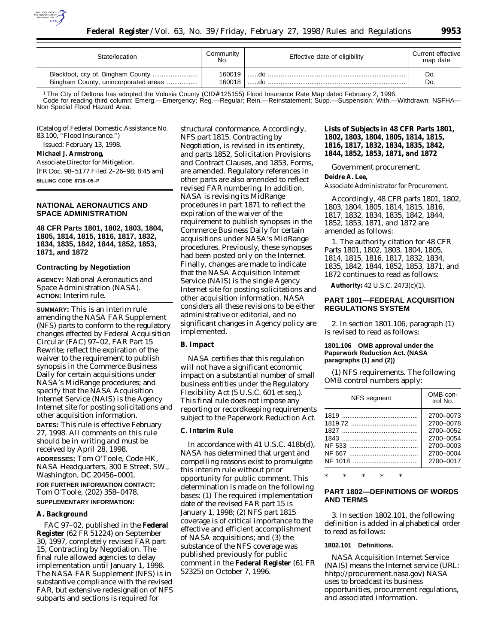

| State/location                       | Community<br>No. | Effective date of eligibility | Current effective<br>map date |
|--------------------------------------|------------------|-------------------------------|-------------------------------|
|                                      | 160019           |                               | Do.                           |
| Bingham County, unincorporated areas | 160018           |                               | Do                            |

1 The City of Deltona has adopted the Volusia County (CID# 125155) Flood Insurance Rate Map dated February 2, 1996.<br>Code for reading third column: Emerg.—Emergency; Reg.—Regular; Rein.—Reinstatement; Supp.—Suspension; With Non Special Flood Hazard Area.

(Catalog of Federal Domestic Assistance No. 83.100, ''Flood Insurance.'')

Issued: February 13, 1998.

#### **Michael J. Armstrong,**

*Associate Director for Mitigation.* [FR Doc. 98–5177 Filed 2–26–98; 8:45 am] **BILLING CODE 6718–05–P**

## **NATIONAL AERONAUTICS AND SPACE ADMINISTRATION**

**48 CFR Parts 1801, 1802, 1803, 1804, 1805, 1814, 1815, 1816, 1817, 1832, 1834, 1835, 1842, 1844, 1852, 1853, 1871, and 1872**

#### **Contracting by Negotiation**

**AGENCY:** National Aeronautics and Space Administration (NASA). **ACTION:** Interim rule.

**SUMMARY:** This is an interim rule amending the NASA FAR Supplement (NFS) parts to conform to the regulatory changes effected by Federal Acquisition Circular (FAC) 97–02, FAR Part 15 Rewrite; reflect the expiration of the waiver to the requirement to publish synopsis in the Commerce Business Daily for certain acquisitions under NASA's MidRange procedures; and specify that the NASA Acquisition Internet Service (NAIS) is the Agency Internet site for posting solicitations and other acquisition information.

**DATES:** This rule is effective February 27, 1998. All comments on this rule should be in writing and must be received by April 28, 1998. **ADDRESSES:** Tom O'Toole, Code HK, NASA Headquarters, 300 E Street, SW., Washington, DC 20456–0001.

**FOR FURTHER INFORMATION CONTACT:** Tom O'Toole, (202) 358–0478. **SUPPLEMENTARY INFORMATION:**

## **A. Background**

FAC 97–02, published in the **Federal Register** (62 FR 51224) on September 30, 1997, completely revised FAR part 15, Contracting by Negotiation. The final rule allowed agencies to delay implementation until January 1, 1998. The NASA FAR Supplement (NFS) is in substantive compliance with the revised FAR, but extensive redesignation of NFS subparts and sections is required for

structural conformance. Accordingly, NFS part 1815, Contracting by Negotiation, is revised in its entirety, and parts 1852, Solicitation Provisions and Contract Clauses, and 1853, Forms, are amended. Regulatory references in other parts are also amended to reflect revised FAR numbering. In addition, NASA is revising its MidRange procedures in part 1871 to reflect the expiration of the waiver of the requirement to publish synopses in the Commerce Business Daily for certain acquisitions under NASA's MidRange procedures. Previously, these synopses had been posted only on the Internet. Finally, changes are made to indicate that the NASA Acquisition Internet Service (NAIS) is the single Agency Internet site for posting solicitations and other acquisition information. NASA considers all these revisions to be either administrative or editorial, and no significant changes in Agency policy are implemented.

#### **B. Impact**

NASA certifies that this regulation will not have a significant economic impact on a substantial number of small business entities under the Regulatory Flexibility Act (5 U.S.C. 601 *et seq.*). This final rule does not impose any reporting or recordkeeping requirements subject to the Paperwork Reduction Act.

## **C. Interim Rule**

In accordance with 41 U.S.C. 418b(d), NASA has determined that urgent and compelling reasons exist to promulgate this interim rule without prior opportunity for public comment. This determination is made on the following bases: (1) The required implementation date of the revised FAR part 15 is January 1, 1998; (2) NFS part 1815 coverage is of critical importance to the effective and efficient accomplishment of NASA acquisitions; and (3) the substance of the NFS coverage was published previously for public comment in the **Federal Register** (61 FR 52325) on October 7, 1996.

# **Lists of Subjects in 48 CFR Parts 1801, 1802, 1803, 1804, 1805, 1814, 1815, 1816, 1817, 1832, 1834, 1835, 1842, 1844, 1852, 1853, 1871, and 1872**

Government procurement.

### **Deidre A. Lee,**

*Associate Administrator for Procurement.*

Accordingly, 48 CFR parts 1801, 1802, 1803, 1804, 1805, 1814, 1815, 1816, 1817, 1832, 1834, 1835, 1842, 1844, 1852, 1853, 1871, and 1872 are amended as follows:

1. The authority citation for 48 CFR Parts 1801, 1802, 1803, 1804, 1805, 1814, 1815, 1816, 1817, 1832, 1834, 1835, 1842, 1844, 1852, 1853, 1871, and 1872 continues to read as follows:

**Authority:** 42 U.S.C. 2473(c)(1).

## **PART 1801—FEDERAL ACQUISITION REGULATIONS SYSTEM**

2. In section 1801.106, paragraph (1) is revised to read as follows:

## **1801.106 OMB approval under the Paperwork Reduction Act. (NASA paragraphs (1) and (2))**

(1) NFS requirements. The following OMB control numbers apply:

| <b>NFS</b> segment | OMB con-<br>trol No. |
|--------------------|----------------------|
|                    | 2700-0073            |
|                    | 2700-0078            |
| 1827               | 2700-0052            |
|                    | 2700-0054            |
|                    | 2700-0003            |
|                    | 2700-0004            |
| NF 1018            | 2700-0017            |

\* \* \* \* \*

# **PART 1802—DEFINITIONS OF WORDS AND TERMS**

3. In section 1802.101, the following definition is added in alphabetical order to read as follows:

## **1802.101 Definitions.**

*NASA Acquisition Internet Service (NAIS)* means the Internet service (URL: hhtp://procurement.nasa.gov) NASA uses to broadcast its business opportunities, procurement regulations, and associated information.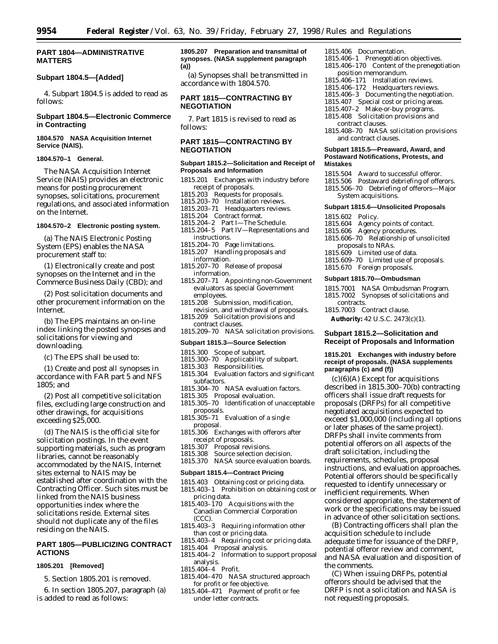## **PART 1804—ADMINISTRATIVE MATTERS**

# **Subpart 1804.5—[Added]**

4. Subpart 1804.5 is added to read as follows:

# **Subpart 1804.5—Electronic Commerce in Contracting**

### **1804.570 NASA Acquisition Internet Service (NAIS).**

### **1804.570–1 General.**

The NASA Acquisition Internet Service (NAIS) provides an electronic means for posting procurement synopses, solicitations, procurement regulations, and associated information on the Internet.

## **1804.570–2 Electronic posting system.**

(a) The NAIS Electronic Posting System (EPS) enables the NASA procurement staff to:

(1) Electronically create and post synopses on the Internet and in the Commerce Business Daily (CBD); and

(2) Post solicitation documents and other procurement information on the Internet.

(b) The EPS maintains an on-line index linking the posted synopses and solicitations for viewing and downloading.

(c) The EPS shall be used to:

(1) Create and post all synopses in accordance with FAR part 5 and NFS  $1805$ ; and

(2) Post all competitive solicitation files, excluding large construction and other drawings, for acquisitions exceeding \$25,000.

(d) The NAIS is the official site for solicitation postings. In the event supporting materials, such as program libraries, cannot be reasonably accommodated by the NAIS, Internet sites external to NAIS may be established after coordination with the Contracting Officer. Such sites must be linked from the NAIS business opportunities index where the solicitations reside. External sites should not duplicate any of the files residing on the NAIS.

# **PART 1805—PUBLICIZING CONTRACT ACTIONS**

#### **1805.201 [Removed]**

- 5. Section 1805.201 is removed.
- 6. In section 1805.207, paragraph (a) is added to read as follows:

## **1805.207 Preparation and transmittal of synopses. (NASA supplement paragraph (a))**

(a) Synopses shall be transmitted in accordance with 1804.570.

# **PART 1815—CONTRACTING BY NEGOTIATION**

7. Part 1815 is revised to read as follows:

# **PART 1815—CONTRACTING BY NEGOTIATION**

## **Subpart 1815.2—Solicitation and Receipt of Proposals and Information**

- 1815.201 Exchanges with industry before receipt of proposals.
- 1815.203 Requests for proposals.
- 1815.203–70 Installation reviews.
- 1815.203–71 Headquarters reviews.
- 1815.204 Contract format.
- 1815.204–2 Part I—The Schedule. 1815.204–5 Part IV—Representations and
- instructions.
- 1815.204–70 Page limitations.
- 1815.207 Handling proposals and information.
- 1815.207–70 Release of proposal information.
- 1815.207–71 Appointing non-Government evaluators as special Government employees.
- 1815.208 Submission, modification, revision, and withdrawal of proposals.
- 1815.209 Solicitation provisions and contract clauses.
- 1815.209–70 NASA solicitation provisions.

## **Subpart 1815.3—Source Selection**

- 1815.300 Scope of subpart.
- 1815.300–70 Applicability of subpart.
- 1815.303 Responsibilities.
- 1815.304 Evaluation factors and significant subfactors.
- 1815.304–70 NASA evaluation factors.
- 1815.305 Proposal evaluation.
- 1815.305–70 Identification of unacceptable proposals.
- 1815.305–71 Evaluation of a single proposal.
- 1815.306 Exchanges with offerors after receipt of proposals.<br>1815.307 Proposal revis
- 1815.307 Proposal revisions.<br>1815.308 Source selection de
- Source selection decision.
- 1815.370 NASA source evaluation boards.

## **Subpart 1815.4—Contract Pricing**

- 1815.403 Obtaining cost or pricing data. 1815.403–1 Prohibition on obtaining cost or
- pricing data.
- 1815.403–170 Acquisitions with the Canadian Commercial Corporation (CCC).
- 1815.403–3 Requiring information other than cost or pricing data.
- 1815.403–4 Requiring cost or pricing data.
- 1815.404 Proposal analysis.
- 1815.404–2 Information to support proposal analysis.
- 1815.404–4 Profit.
- 1815.404–470 NASA structured approach for profit or fee objective.
- 1815.404–471 Payment of profit or fee under letter contracts.

## 1815.406 Documentation.

- 1815.406–1 Prenegotiation objectives.
- 1815.406–170 Content of the prenegotiation position memorandum.
- 1815.406–171 Installation reviews.
- 1815.406–172 Headquarters reviews.
- 1815.406–3 Documenting the negotiation.
- 1815.407 Special cost or pricing areas.
	- 1815.407–2 Make-or-buy programs. 1815.408 Solicitation provisions and contract clauses.
- 1815.408–70 NASA solicitation provisions and contract clauses.

#### **Subpart 1815.5—Preaward, Award, and Postaward Notifications, Protests, and Mistakes**

- 1815.504 Award to successful offeror.
- 1815.506 Postaward debriefing of offerors.
- 1815.506–70 Debriefing of offerors—Major System acquisitions.

#### **Subpart 1815.6—Unsolicited Proposals**

- 1815.602 Policy.
- 1815.604 Agency points of contact.
- 1815.606 Agency procedures.
- 1815.606–70 Relationship of unsolicited proposals to NRAs.
- 1815.609 Limited use of data.
- 1815.609–70 Limited use of proposals.
- 1815.670 Foreign proposals.

#### **Subpart 1815.70—Ombudsman**

- 1815.7001 NASA Ombudsman Program.
- 1815.7002 Synopses of solicitations and contracts.

1815.7003 Contract clause.

**Authority:** 42 U.S.C. 2473(c)(1).

### **Subpart 1815.2—Solicitation and Receipt of Proposals and Information**

### **1815.201 Exchanges with industry before receipt of proposals. (NASA supplements paragraphs (c) and (f))**

 $(c)(6)(A)$  Except for acquisitions described in 1815.300–70(b) contracting officers shall issue draft requests for proposals (DRFPs) for all competitive negotiated acquisitions expected to exceed \$1,000,000 (including all options or later phases of the same project). DRFPs shall invite comments from potential offerors on all aspects of the draft solicitation, including the requirements, schedules, proposal instructions, and evaluation approaches. Potential offerors should be specifically requested to identify unnecessary or inefficient requirements. When considered appropriate, the statement of work or the specifications may be issued in advance of other solicitation sections.

(B) Contracting officers shall plan the acquisition schedule to include adequate time for issuance of the DRFP, potential offeror review and comment, and NASA evaluation and disposition of the comments.

(C) When issuing DRFPs, potential offerors should be advised that the DRFP is not a solicitation and NASA is not requesting proposals.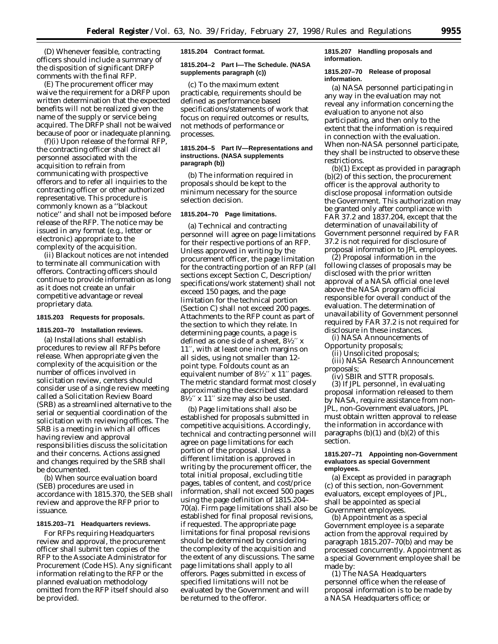(D) Whenever feasible, contracting officers should include a summary of the disposition of significant DRFP comments with the final RFP.

(E) The procurement officer may waive the requirement for a DRFP upon written determination that the expected benefits will not be realized given the name of the supply or service being acquired. The DRFP shall not be waived because of poor or inadequate planning.

(f)(i) Upon release of the formal RFP, the contracting officer shall direct all personnel associated with the acquisition to refrain from communicating with prospective offerors and to refer all inquiries to the contracting officer or other authorized representative. This procedure is commonly known as a ''blackout notice'' and shall not be imposed before release of the RFP. The notice may be issued in any format (e.g., letter or electronic) appropriate to the complexity of the acquisition.

(ii) Blackout notices are not intended to terminate all communication with offerors. Contracting officers should continue to provide information as long as it does not create an unfair competitive advantage or reveal proprietary data.

## **1815.203 Requests for proposals.**

### **1815.203–70 Installation reviews.**

(a) Installations shall establish procedures to review all RFPs before release. When appropriate given the complexity of the acquisition or the number of offices involved in solicitation review, centers should consider use of a single review meeting called a Solicitation Review Board (SRB) as a streamlined alternative to the serial or sequential coordination of the solicitation with reviewing offices. The SRB is a meeting in which all offices having review and approval responsibilities discuss the solicitation and their concerns. Actions assigned and changes required by the SRB shall be documented.

(b) When source evaluation board (SEB) procedures are used in accordance with 1815.370, the SEB shall review and approve the RFP prior to issuance.

## **1815.203–71 Headquarters reviews.**

For RFPs requiring Headquarters review and approval, the procurement officer shall submit ten copies of the RFP to the Associate Administrator for Procurement (Code HS). Any significant information relating to the RFP or the planned evaluation methodology omitted from the RFP itself should also be provided.

**1815.204 Contract format.**

### **1815.204–2 Part I—The Schedule. (NASA supplements paragraph (c))**

(c) To the maximum extent practicable, requirements should be defined as performance based specifications/statements of work that focus on required outcomes or results, not methods of performance or processes.

#### **1815.204–5 Part IV—Representations and instructions. (NASA supplements paragraph (b))**

(b) The information required in proposals should be kept to the minimum necessary for the source selection decision.

### **1815.204–70 Page limitations.**

(a) Technical and contracting personnel will agree on page limitations for their respective portions of an RFP. Unless approved in writing by the procurement officer, the page limitation for the contracting portion of an RFP (all sections except Section C, Description/ specifications/work statement) shall not exceed 150 pages, and the page limitation for the technical portion (Section C) shall not exceed 200 pages. Attachments to the RFP count as part of the section to which they relate. In determining page counts, a page is defined as one side of a sheet, 81⁄2′′ x 11′′, with at least one inch margins on all sides, using not smaller than 12 point type. Foldouts count as an equivalent number of  $8\frac{1}{2}$ " x  $11$ " pages. The metric standard format most closely approximating the described standard  $8\frac{1}{2}$ " x 11" size may also be used.

(b) Page limitations shall also be established for proposals submitted in competitive acquisitions. Accordingly, technical and contracting personnel will agree on page limitations for each portion of the proposal. Unless a different limitation is approved in writing by the procurement officer, the total initial proposal, excluding title pages, tables of content, and cost/price information, shall not exceed 500 pages using the page definition of 1815.204– 70(a). Firm page limitations shall also be established for final proposal revisions, if requested. The appropriate page limitations for final proposal revisions should be determined by considering the complexity of the acquisition and the extent of any discussions. The same page limitations shall apply to all offerors. Pages submitted in excess of specified limitations will not be evaluated by the Government and will be returned to the offeror.

## **1815.207 Handling proposals and information.**

#### **1815.207–70 Release of proposal information.**

(a) NASA personnel participating in any way in the evaluation may not reveal any information concerning the evaluation to anyone not also participating, and then only to the extent that the information is required in connection with the evaluation. When non-NASA personnel participate, they shall be instructed to observe these restrictions.

(b)(1) Except as provided in paragraph (b)(2) of this section, the procurement officer is the approval authority to disclose proposal information outside the Government. This authorization may be granted only after compliance with FAR 37.2 and 1837.204, except that the determination of unavailability of Government personnel required by FAR 37.2 is not required for disclosure of proposal information to JPL employees.

(2) Proposal information in the following classes of proposals may be disclosed with the prior written approval of a NASA official one level above the NASA program official responsible for overall conduct of the evaluation. The determination of unavailability of Government personnel required by FAR 37.2 is not required for disclosure in these instances.

(i) NASA Announcements of Opportunity proposals;

(ii) Unsolicited proposals;

(iii) NASA Research Announcement proposals;

(iv) SBIR and STTR proposals. (3) If JPL personnel, in evaluating proposal information released to them by NASA, require assistance from non-JPL, non-Government evaluators, JPL must obtain written approval to release the information in accordance with paragraphs  $(b)(1)$  and  $(b)(2)$  of this section.

### **1815.207–71 Appointing non-Government evaluators as special Government employees.**

(a) Except as provided in paragraph (c) of this section, non-Government evaluators, except employees of JPL, shall be appointed as special Government employees.

(b) Appointment as a special Government employee is a separate action from the approval required by paragraph 1815.207–70(b) and may be processed concurrently. Appointment as a special Government employee shall be made by:

(1) The NASA Headquarters personnel office when the release of proposal information is to be made by a NASA Headquarters office; or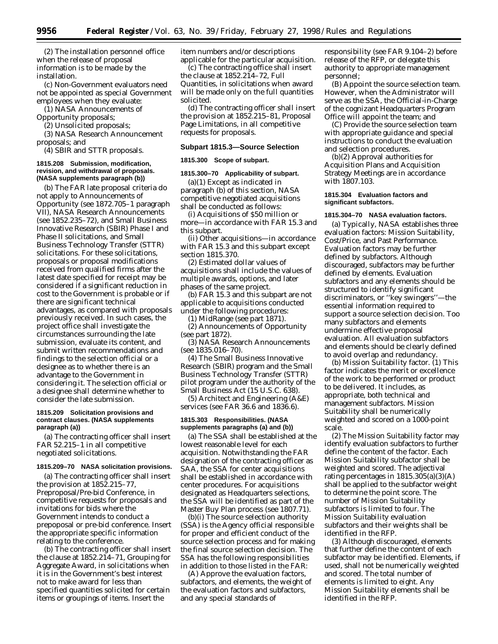(2) The installation personnel office when the release of proposal information is to be made by the installation.

(c) Non-Government evaluators need not be appointed as special Government employees when they evaluate:

(1) NASA Announcements of

Opportunity proposals;

(2) Unsolicited proposals;

(3) NASA Research Announcement proposals; and

(4) SBIR and STTR proposals.

### **1815.208 Submission, modification, revision, and withdrawal of proposals. (NASA supplements paragraph (b))**

(b) The FAR late proposal criteria do not apply to Announcements of Opportunity (see 1872.705–1 paragraph VII), NASA Research Announcements (see 1852.235–72), and Small Business Innovative Research (SBIR) Phase I and Phase II solicitations, and Small Business Technology Transfer (STTR) solicitations. For these solicitations, proposals or proposal modifications received from qualified firms after the latest date specified for receipt may be considered if a significant reduction in cost to the Government is probable or if there are significant technical advantages, as compared with proposals previously received. In such cases, the project office shall investigate the circumstances surrounding the late submission, evaluate its content, and submit written recommendations and findings to the selection official or a designee as to whether there is an advantage to the Government in considering it. The selection official or a designee shall determine whether to consider the late submission.

## **1815.209 Solicitation provisions and contract clauses. (NASA supplements paragraph (a))**

(a) The contracting officer shall insert FAR 52.215–1 in all competitive negotiated solicitations.

#### **1815.209–70 NASA solicitation provisions.**

(a) The contracting officer shall insert the provision at 1852.215–77, Preproposal/Pre-bid Conference, in competitive requests for proposals and invitations for bids where the Government intends to conduct a prepoposal or pre-bid conference. Insert the appropriate specific information relating to the conference.

(b) The contracting officer shall insert the clause at  $1852.214-71$ , Grouping for Aggregate Award, in solicitations when it is in the Government's best interest not to make award for less than specified quantities solicited for certain items or groupings of items. Insert the

item numbers and/or descriptions applicable for the particular acquisition.

(c) The contracting office shall insert the clause at 1852.214–72, Full Quantities, in solicitations when award will be made only on the full quantities solicited.

(d) The contracting officer shall insert the provision at 1852.215–81, Proposal Page Limitations, in all competitive requests for proposals.

### **Subpart 1815.3—Source Selection**

## **1815.300 Scope of subpart.**

## **1815.300–70 Applicability of subpart.**

(a)(1) Except as indicated in paragraph (b) of this section, NASA competitive negotiated acquisitions shall be conducted as follows:

(i) Acquisitions of \$50 million or more—in accordance with FAR 15.3 and this subpart.

(ii) Other acquisitions—in accordance with FAR 15.3 and this subpart except section 1815.370.

(2) Estimated dollar values of acquisitions shall include the values of multiple awards, options, and later phases of the same project.

(b) FAR 15.3 and this subpart are not applicable to acquisitions conducted under the following procedures:

(1) MidRange (see part 1871).

(2) Announcements of Opportunity (see part 1872).

(3) NASA Research Announcements (see 1835.016–70).

(4) The Small Business Innovative Research (SBIR) program and the Small Business Technology Transfer (STTR) pilot program under the authority of the Small Business Act (15 U.S.C. 638).

(5) Architect and Engineering (A&E) services (see FAR 36.6 and 1836.6).

### **1815.303 Responsibilities. (NASA supplements paragraphs (a) and (b))**

(a) The SSA shall be established at the lowest reasonable level for each acquisition. Notwithstanding the FAR designation of the contracting officer as SAA, the SSA for center acquisitions shall be established in accordance with center procedures. For acquisitions designated as Headquarters selections, the SSA will be identified as part of the Master Buy Plan process (see 1807.71).

(b)(i) The source selection authority (SSA) is the Agency official responsible for proper and efficient conduct of the source selection process and for making the final source selection decision. The SSA has the following responsibilities in addition to those listed in the FAR:

(A) Approve the evaluation factors, subfactors, and elements, the weight of the evaluation factors and subfactors, and any special standards of

responsibility (see FAR 9.104–2) before release of the RFP, or delegate this authority to appropriate management personnel;

(B) Appoint the source selection team. However, when the Administrator will serve as the SSA, the Official-in-Charge of the cognizant Headquarters Program Office will appoint the team; and

(C) Provide the source selection team with appropriate guidance and special instructions to conduct the evaluation and selection procedures.

(b)(2) Approval authorities for Acquisition Plans and Acquisition Strategy Meetings are in accordance with 1807.103.

#### **1815.304 Evaluation factors and significant subfactors.**

#### **1815.304–70 NASA evaluation factors.**

(a) Typically, NASA establishes three evaluation factors: Mission Suitability, Cost/Price, and Past Performance. Evaluation factors may be further defined by subfactors. Although discouraged, subfactors may be further defined by elements. Evaluation subfactors and any elements should be structured to identify significant discriminators, or ''key swingers''—the essential information required to support a source selection decision. Too many subfactors and elements undermine effective proposal evaluation. All evaluation subfactors and elements should be clearly defined to avoid overlap and redundancy.

(b) Mission Suitability factor. (1) This factor indicates the merit or excellence of the work to be performed or product to be delivered. It includes, as appropriate, both technical and management subfactors. Mission Suitability shall be numerically weighted and scored on a 1000-point scale.

(2) The Mission Suitability factor may identify evaluation subfactors to further define the content of the factor. Each Mission Suitability subfactor shall be weighted and scored. The adjectival rating percentages in 1815.305(a)(3)(A) shall be applied to the subfactor weight to determine the point score. The number of Mission Suitability subfactors is limited to four. The Mission Suitability evaluation subfactors and their weights shall be identified in the RFP.

(3) Although discouraged, elements that further define the content of each subfactor may be identified. Elements, if used, shall not be numerically weighted and scored. The total number of elements is limited to eight. Any Mission Suitability elements shall be identified in the RFP.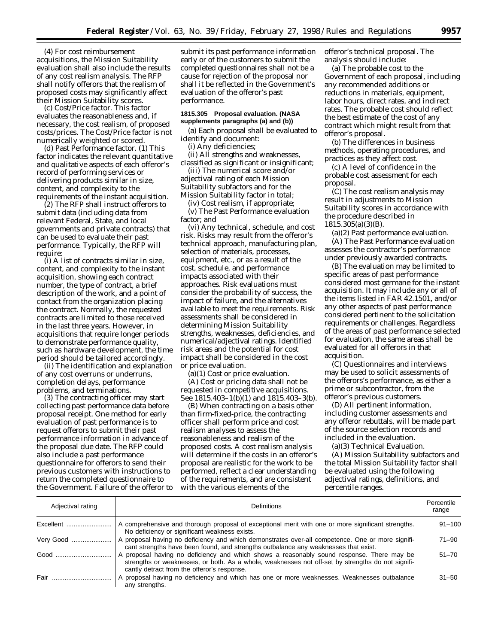(4) For cost reimbursement acquisitions, the Mission Suitability evaluation shall also include the results of any cost realism analysis. The RFP shall notify offerors that the realism of proposed costs may significantly affect their Mission Suitability scores.

(c) Cost/Price factor. This factor evaluates the reasonableness and, if necessary, the cost realism, of proposed costs/prices. The Cost/Price factor is not numerically weighted or scored.

(d) Past Performance factor. (1) This factor indicates the relevant quantitative and qualitative aspects of each offeror's record of performing services or delivering products similar in size, content, and complexity to the requirements of the instant acquisition.

(2) The RFP shall instruct offerors to submit data (including data from relevant Federal, State, and local governments and private contracts) that can be used to evaluate their past performance. Typically, the RFP will require:

(i) A list of contracts similar in size, content, and complexity to the instant acquisition, showing each contract number, the type of contract, a brief description of the work, and a point of contact from the organization placing the contract. Normally, the requested contracts are limited to those received in the last three years. However, in acquisitions that require longer periods to demonstrate performance quality, such as hardware development, the time period should be tailored accordingly.

(ii) The identification and explanation of any cost overruns or underruns, completion delays, performance problems, and terminations.

(3) The contracting officer may start collecting past performance data before proposal receipt. One method for early evaluation of past performance is to request offerors to submit their past performance information in advance of the proposal due date. The RFP could also include a past performance questionnaire for offerors to send their previous customers with instructions to return the completed questionnaire to the Government. Failure of the offeror to submit its past performance information early or of the customers to submit the completed questionnaires shall not be a cause for rejection of the proposal nor shall it be reflected in the Government's evaluation of the offeror's past performance.

## **1815.305 Proposal evaluation. (NASA supplements paragraphs (a) and (b))**

(a) Each proposal shall be evaluated to identify and document:

(i) Any deficiencies;

(ii) All strengths and weaknesses, classified as significant or insignificant;

(iii) The numerical score and/or adjectival rating of each Mission Suitability subfactors and for the

Mission Suitability factor in total; (iv) Cost realism, if appropriate;

(v) The Past Performance evaluation factor; and

(vi) Any technical, schedule, and cost risk. Risks may result from the offeror's technical approach, manufacturing plan, selection of materials, processes, equipment, etc., or as a result of the cost, schedule, and performance impacts associated with their approaches. Risk evaluations must consider the probability of success, the impact of failure, and the alternatives available to meet the requirements. Risk assessments shall be considered in determining Mission Suitability strengths, weaknesses, deficiencies, and numerical/adjectival ratings. Identified risk areas and the potential for cost impact shall be considered in the cost or price evaluation.

(a)(1) Cost or price evaluation.

(A) Cost or pricing data shall not be requested in competitive acquisitions. See 1815.403–1(b)(1) and 1815.403–3(b).

(B) When contracting on a basis other than firm-fixed-price, the contracting officer shall perform price and cost realism analyses to assess the reasonableness and realism of the proposed costs. A cost realism analysis will determine if the costs in an offeror's proposal are realistic for the work to be performed, reflect a clear understanding of the requirements, and are consistent with the various elements of the

offeror's technical proposal. The analysis should include:

(a) The probable cost to the Government of each proposal, including any recommended additions or reductions in materials, equipment, labor hours, direct rates, and indirect rates. The probable cost should reflect the best estimate of the cost of any contract which might result from that offeror's proposal.

(b) The differences in business methods, operating procedures, and practices as they affect cost.

(c) A level of confidence in the probable cost assessment for each proposal.

(C) The cost realism analysis may result in adjustments to Mission Suitability scores in accordance with the procedure described in 1815.305(a)(3)(B).

(a)(2) Past performance evaluation.

(A) The Past Performance evaluation assesses the contractor's performance under previously awarded contracts.

(B) The evaluation may be limited to specific areas of past performance considered most germane for the instant acquisition. It may include any or all of the items listed in FAR 42.1501, and/or any other aspects of past performance considered pertinent to the solicitation requirements or challenges. Regardless of the areas of past performance selected for evaluation, the same areas shall be evaluated for all offerors in that acquisition.

(C) Questionnaires and interviews may be used to solicit assessments of the offerors's performance, as either a prime or subcontractor, from the offeror's previous customers.

(D) All pertinent information, including customer assessments and any offeror rebuttals, will be made part of the source selection records and included in the evaluation.

(a)(3) Technical Evaluation.

(A) Mission Suitability subfactors and the total Mission Suitability factor shall be evaluated using the following adjectival ratings, definitions, and percentile ranges.

| Adjectival rating | <b>Definitions</b>                                                                                                                                                                                                                            | Percentile<br>range |
|-------------------|-----------------------------------------------------------------------------------------------------------------------------------------------------------------------------------------------------------------------------------------------|---------------------|
| Excellent         | A comprehensive and thorough proposal of exceptional merit with one or more significant strengths.<br>No deficiency or significant weakness exists.                                                                                           | $91 - 100$          |
| Very Good         | A proposal having no deficiency and which demonstrates over-all competence. One or more signifi-<br>cant strengths have been found, and strengths outbalance any weaknesses that exist.                                                       | $71 - 90$           |
| Good              | A proposal having no deficiency and which shows a reasonably sound response. There may be<br>strengths or weaknesses, or both. As a whole, weaknesses not off-set by strengths do not signifi-<br>cantly detract from the offeror's response. | $51 - 70$           |
| Fair              | A proposal having no deficiency and which has one or more weaknesses. Weaknesses outbalance<br>any strengths.                                                                                                                                 | $31 - 50$           |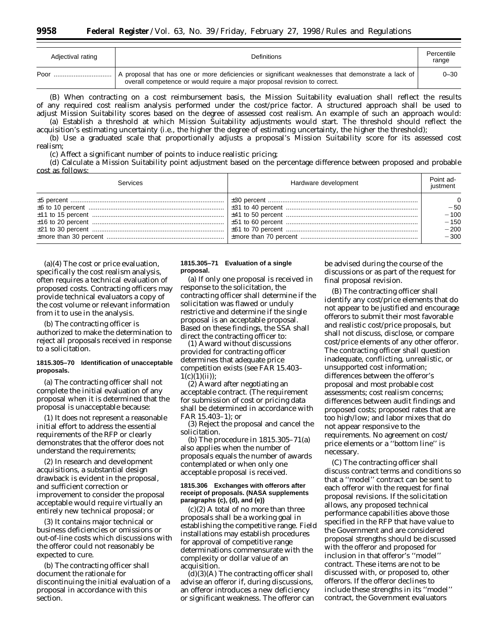| Adjectival rating | <b>Definitions</b>                                                                                                                                                           | Percentile<br>range |
|-------------------|------------------------------------------------------------------------------------------------------------------------------------------------------------------------------|---------------------|
| Poor              | proposal that has one or more deficiencies or significant weaknesses that demonstrate a lack of<br>overall competence or would require a major proposal revision to correct. | $0 - 30$            |

(B) When contracting on a cost reimbursement basis, the Mission Suitability evaluation shall reflect the results of any required cost realism analysis performed under the cost/price factor. A structured approach shall be used to adjust Mission Suitability scores based on the degree of assessed cost realism. An example of such an approach would: (a) Establish a threshold at which Mission Suitability adjustments would start. The threshold should reflect the acquisition's estimating uncertainty (i.e., the higher the degree of estimating uncertainty, the higher the threshold);

(b) Use a graduated scale that proportionally adjusts a proposal's Mission Suitability score for its assessed cost realism;

(c) Affect a significant number of points to induce realistic pricing;

(d) Calculate a Mission Suitability point adjustment based on the percentage difference between proposed and probable cost as follows:

| Services | Hardware development | Point ad-<br>iustment                         |
|----------|----------------------|-----------------------------------------------|
|          |                      | $-50$<br>$-100$<br>$-150$<br>$-200$<br>$-300$ |

(a)(4) The cost or price evaluation, specifically the cost realism analysis, often requires a technical evaluation of proposed costs. Contracting officers may provide technical evaluators a copy of the cost volume or relevant information from it to use in the analysis.

(b) The contracting officer is authorized to make the determination to reject all proposals received in response to a solicitation.

## **1815.305–70 Identification of unacceptable proposals.**

(a) The contracting officer shall not complete the initial evaluation of any proposal when it is determined that the proposal is unacceptable because:

(1) It does not represent a reasonable initial effort to address the essential requirements of the RFP or clearly demonstrates that the offeror does not understand the requirements;

(2) In research and development acquisitions, a substantial design drawback is evident in the proposal, and sufficient correction or improvement to consider the proposal acceptable would require virtually an entirely new technical proposal; or

(3) It contains major technical or business deficiencies or omissions or out-of-line costs which discussions with the offeror could not reasonably be expected to cure.

(b) The contracting officer shall document the rationale for discontinuing the initial evaluation of a proposal in accordance with this section.

## **1815.305–71 Evaluation of a single proposal.**

(a) If only one proposal is received in response to the solicitation, the contracting officer shall determine if the solicitation was flawed or unduly restrictive and determine if the single proposal is an acceptable proposal. Based on these findings, the SSA shall direct the contracting officer to:

(1) Award without discussions provided for contracting officer determines that adequate price competition exists (see FAR 15.403–  $1(c)(1)(ii)$ ;

(2) Award after negotiating an acceptable contract. (The requirement for submission of cost or pricing data shall be determined in accordance with FAR 15.403–1); or

(3) Reject the proposal and cancel the solicitation.

(b) The procedure in 1815.305–71(a) also applies when the number of proposals equals the number of awards contemplated or when only one acceptable proposal is received.

### **1815.306 Exchanges with offerors after receipt of proposals. (NASA supplements paragraphs (c), (d), and (e))**

(c)(2) A total of no more than three proposals shall be a working goal in establishing the competitive range. Field installations may establish procedures for approval of competitive range determinations commensurate with the complexity or dollar value of an acquisition.

 $(d)(3)(A)$  The contracting officer shall advise an offeror if, during discussions, an offeror introduces a new deficiency or significant weakness. The offeror can be advised during the course of the discussions or as part of the request for final proposal revision.

(B) The contracting officer shall identify any cost/price elements that do not appear to be justified and encourage offerors to submit their most favorable and realistic cost/price proposals, but shall not discuss, disclose, or compare cost/price elements of any other offeror. The contracting officer shall question inadequate, conflicting, unrealistic, or unsupported cost information; differences between the offeror's proposal and most probable cost assessments; cost realism concerns; differences between audit findings and proposed costs; proposed rates that are too high/low; and labor mixes that do not appear responsive to the requirements. No agreement on cost/ price elements or a ''bottom line'' is necessary.

(C) The contracting officer shall discuss contract terms and conditions so that a ''model'' contract can be sent to each offeror with the request for final proposal revisions. If the solicitation allows, any proposed technical performance capabilities above those specified in the RFP that have value to the Government and are considered proposal strengths should be discussed with the offeror and proposed for inclusion in that offeror's ''model'' contract. These items are not to be discussed with, or proposed to, other offerors. If the offeror declines to include these strengths in its ''model'' contract, the Government evaluators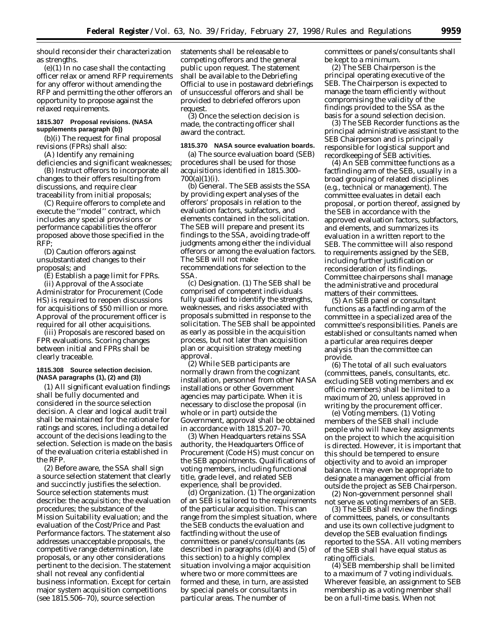should reconsider their characterization as strengths.

(e)(1) In no case shall the contacting officer relax or amend RFP requirements for any offeror without amending the RFP and permitting the other offerors an opportunity to propose against the relaxed requirements.

## **1815.307 Proposal revisions. (NASA supplements paragraph (b))**

(b)(i) The request for final proposal revisions (FPRs) shall also:

(A) Identify any remaining deficiencies and significant weaknesses;

(B) Instruct offerors to incorporate all changes to their offers resulting from discussions, and require clear traceability from initial proposals;

(C) Require offerors to complete and execute the ''model'' contract, which includes any special provisions or performance capabilities the offeror proposed above those specified in the RFP;

(D) Caution offerors against unsubstantiated changes to their proposals; and

(E) Establish a page limit for FPRs.

(ii) Approval of the Associate Administrator for Procurement (Code HS) is required to reopen discussions for acquisitions of \$50 million or more. Approval of the procurement officer is required for all other acquisitions.

(iii) Proposals are rescored based on FPR evaluations. Scoring changes between initial and FPRs shall be clearly traceable.

## **1815.308 Source selection decision. (NASA paragraphs (1), (2) and (3))**

(1) All significant evaluation findings shall be fully documented and considered in the source selection decision. A clear and logical audit trail shall be maintained for the rationale for ratings and scores, including a detailed account of the decisions leading to the selection. Selection is made on the basis of the evaluation criteria established in the RFP.

(2) Before aware, the SSA shall sign a source selection statement that clearly and succinctly justifies the selection. Source selection statements must describe: the acquisition; the evaluation procedures; the substance of the Mission Suitability evaluation; and the evaluation of the Cost/Price and Past Performance factors. The statement also addresses unacceptable proposals, the competitive range determination, late proposals, or any other considerations pertinent to the decision. The statement shall not reveal any confidential business information. Except for certain major system acquisition competitions (see 1815.506–70), source selection

statements shall be releasable to competing offerors and the general public upon request. The statement shall be available to the Debriefing Official to use in postaward debriefings of unsuccessful offerors and shall be provided to debriefed offerors upon request.

(3) Once the selection decision is made, the contracting officer shall award the contract.

#### **1815.370 NASA source evaluation boards.**

(a) The source evaluation board (SEB) procedures shall be used for those acquisitions identified in 1815.300–  $700(a)(1)(i)$ .

(b) *General.* The SEB assists the SSA by providing expert analyses of the offerors' proposals in relation to the evaluation factors, subfactors, and elements contained in the solicitation. The SEB will prepare and present its findings to the SSA, avoiding trade-off judgments among either the individual offerors or among the evaluation factors. The SEB will not make

recommendations for selection to the SSA.

(c) *Designation.* (1) The SEB shall be comprised of competent individuals fully qualified to identify the strengths, weaknesses, and risks associated with proposals submitted in response to the solicitation. The SEB shall be appointed as early as possible in the acquisition process, but not later than acquisition plan or acquisition strategy meeting approval.

(2) While SEB participants are normally drawn from the cognizant installation, personnel from other NASA installations or other Government agencies may participate. When it is necessary to disclose the proposal (in whole or in part) outside the Government, approval shall be obtained in accordance with 1815.207–70.

(3) When Headquarters retains SSA authority, the Headquarters Office of Procurement (Code HS) must concur on the SEB appointments. Qualifications of voting members, including functional title, grade level, and related SEB experience, shall be provided.

(d) *Organization.* (1) The organization of an SEB is tailored to the requirements of the particular acquisition. This can range from the simplest situation, where the SEB conducts the evaluation and factfinding without the use of committees or panels/consultants (as described in paragraphs (d)(4) and (5) of this section) to a highly complex situation involving a major acquisition where two or more committees are formed and these, in turn, are assisted by special panels or consultants in particular areas. The number of

committees or panels/consultants shall be kept to a minimum.

(2) The SEB Chairperson is the principal operating executive of the SEB. The Chairperson is expected to manage the team efficiently without compromising the validity of the findings provided to the SSA as the basis for a sound selection decision.

(3) The SEB Recorder functions as the principal administrative assistant to the SEB Chairperson and is principally responsible for logistical support and recordkeeping of SEB activities.

(4) An SEB committee functions as a factfinding arm of the SEB, usually in a broad grouping of related disciplines (e.g., technical or management). The committee evaluates in detail each proposal, or portion thereof, assigned by the SEB in accordance with the approved evaluation factors, subfactors, and elements, and summarizes its evaluation in a written report to the SEB. The committee will also respond to requirements assigned by the SEB, including further justification or reconsideration of its findings. Committee chairpersons shall manage the administrative and procedural matters of their committees.

(5) An SEB panel or consultant functions as a factfinding arm of the committee in a specialized area of the committee's responsibilities. Panels are established or consultants named when a particular area requires deeper analysis than the committee can provide.

(6) The total of all such evaluators (committees, panels, consultants, etc. excluding SEB voting members and ex officio members) shall be limited to a maximum of 20, unless approved in writing by the procurement officer.

(e) *Voting members.* (1) Voting members of the SEB shall include people who will have key assignments on the project to which the acquisition is directed. However, it is important that this should be tempered to ensure objectivity and to avoid an improper balance. It may even be appropriate to designate a management official from outside the project as SEB Chairperson.

(2) Non-government personnel shall not serve as voting members of an SEB.

(3) The SEB shall review the findings of committees, panels, or consultants and use its own collective judgment to develop the SEB evaluation findings reported to the SSA. All voting members of the SEB shall have equal status as rating officials.

(4) SEB membership shall be limited to a maximum of 7 voting individuals. Wherever feasible, an assignment to SEB membership as a voting member shall be on a full-time basis. When not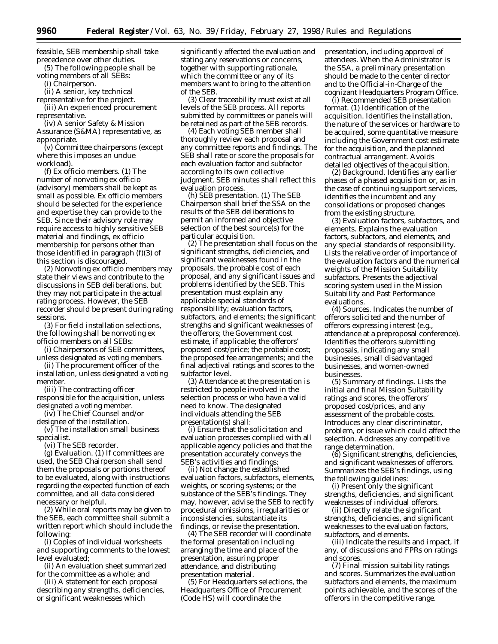feasible, SEB membership shall take precedence over other duties.

(5) The following people shall be voting members of all SEBs:

(i) Chairperson.

(ii) A senior, key technical

representative for the project. (iii) An experienced procurement representative.

(iv) A senior Safety & Mission Assurance (S&MA) representative, as appropriate.

(v) Committee chairpersons (except where this imposes an undue workload).

(f) *Ex officio members.* (1) The number of nonvoting ex officio (advisory) members shall be kept as small as possible. Ex officio members should be selected for the experience and expertise they can provide to the SEB. Since their advisory role may require access to highly sensitive SEB material and findings, ex officio membership for persons other than those identified in paragraph (f)(3) of this section is discouraged.

(2) Nonvoting ex officio members may state their views and contribute to the discussions in SEB deliberations, but they may not participate in the actual rating process. However, the SEB recorder should be present during rating sessions.

(3) For field installation selections, the following shall be nonvoting ex officio members on all SEBs:

(i) Chairpersons of SEB committees, unless designated as voting members.

(ii) The procurement officer of the installation, unless designated a voting member.

(iii) The contracting officer responsible for the acquisition, unless designated a voting member.

(iv) The Chief Counsel and/or designee of the installation.

(v) The installation small business specialist.

(vi) The SEB recorder.

(g) *Evaluation.* (1) If committees are used, the SEB Chairperson shall send them the proposals or portions thereof to be evaluated, along with instructions regarding the expected function of each committee, and all data considered necessary or helpful.

(2) While oral reports may be given to the SEB, each committee shall submit a written report which should include the following:

(i) Copies of individual worksheets and supporting comments to the lowest level evaluated;

(ii) An evaluation sheet summarized for the committee as a whole; and

(iii) A statement for each proposal describing any strengths, deficiencies, or significant weaknesses which

significantly affected the evaluation and stating any reservations or concerns, together with supporting rationale, which the committee or any of its members want to bring to the attention of the SEB.

(3) Clear traceability must exist at all levels of the SEB process. All reports submitted by committees or panels will be retained as part of the SEB records.

(4) Each voting SEB member shall thoroughly review each proposal and any committee reports and findings. The SEB shall rate or score the proposals for each evaluation factor and subfactor according to its own collective judgment. SEB minutes shall reflect this evaluation process.

(h) *SEB presentation.* (1) The SEB Chairperson shall brief the SSA on the results of the SEB deliberations to permit an informed and objective selection of the best source(s) for the particular acquisition.

(2) The presentation shall focus on the significant strengths, deficiencies, and significant weaknesses found in the proposals, the probable cost of each proposal, and any significant issues and problems identified by the SEB. This presentation must explain any applicable special standards of responsibility; evaluation factors, subfactors, and elements; the significant strengths and significant weaknesses of the offerors; the Government cost estimate, if applicable; the offerors' proposed cost/price; the probable cost; the proposed fee arrangements; and the final adjectival ratings and scores to the subfactor level.

(3) Attendance at the presentation is restricted to people involved in the selection process or who have a valid need to know. The designated individuals attending the SEB presentation(s) shall:

(i) Ensure that the solicitation and evaluation processes complied with all applicable agency policies and that the presentation accurately conveys the SEB's activities and findings;

(ii) Not change the established evaluation factors, subfactors, elements, weights, or scoring systems; or the substance of the SEB's findings. They may, however, advise the SEB to rectify procedural omissions, irregularities or inconsistencies, substantiate its findings, or revise the presentation.

(4) The SEB recorder will coordinate the formal presentation including arranging the time and place of the presentation, assuring proper attendance, and distributing presentation material.

(5) For Headquarters selections, the Headquarters Office of Procurement (Code HS) will coordinate the

presentation, including approval of attendees. When the Administrator is the SSA, a preliminary presentation should be made to the center director and to the Official-in-Charge of the cognizant Headquarters Program Office.

(i) *Recommended SEB presentation format.* (1) *Identification of the acquisition.* Identifies the installation, the nature of the services or hardware to be acquired, some quantitative measure including the Government cost estimate for the acquisition, and the planned contractual arrangement. Avoids detailed objectives of the acquisition.

(2) *Background.* Identifies any earlier phases of a phased acquisition or, as in the case of continuing support services, identifies the incumbent and any consolidations or proposed changes from the existing structure.

(3) *Evaluation factors, subfactors, and elements.* Explains the evaluation factors, subfactors, and elements, and any special standards of responsibility. Lists the relative order of importance of the evaluation factors and the numerical weights of the Mission Suitability subfactors. Presents the adjectival scoring system used in the Mission Suitability and Past Performance evaluations.

(4) *Sources*. Indicates the number of offerors solicited and the number of offerors expressing interest (e.g., attendance at a preproposal conference). Identifies the offerors submitting proposals, indicating any small businesses, small disadvantaged businesses, and women-owned businesses.

(5) *Summary of findings.* Lists the initial and final Mission Suitability ratings and scores, the offerors' proposed cost/prices, and any assessment of the probable costs. Introduces any clear discriminator, problem, or issue which could affect the selection. Addresses any competitive range determination.

(6) *Significant strengths, deficiencies, and significant weaknesses of offerors.* Summarizes the SEB's findings, using the following guidelines:

(i) Present only the significant strengths, deficiencies, and significant weaknesses of individual offerors.

(ii) Directly relate the significant strengths, deficiencies, and significant weaknesses to the evaluation factors, subfactors, and elements.

(iii) Indicate the results and impact, if any, of discussions and FPRs on ratings and scores.

(7) *Final mission suitability ratings and scores.* Summarizes the evaluation subfactors and elements, the maximum points achievable, and the scores of the offerors in the competitive range.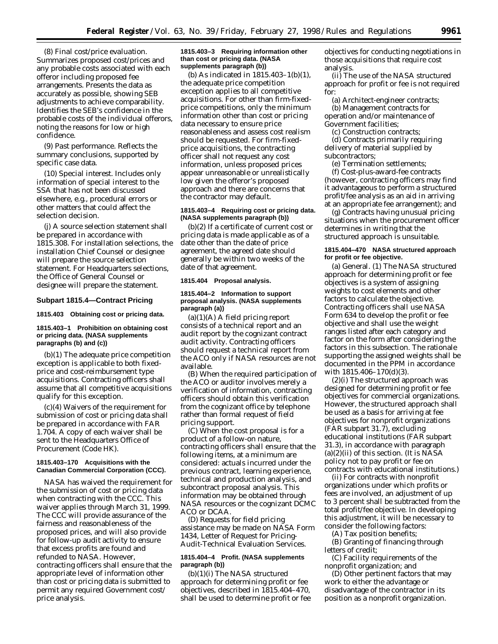(8) *Final cost/price evaluation.* Summarizes proposed cost/prices and any probable costs associated with each offeror including proposed fee arrangements. Presents the data as accurately as possible, showing SEB adjustments to achieve comparability. Identifies the SEB's confidence in the probable costs of the individual offerors, noting the reasons for low or high confidence.

(9) *Past performance.* Reflects the summary conclusions, supported by specific case data.

(10) *Special interest.* Includes only information of special interest to the SSA that has not been discussed elsewhere, e.g., procedural errors or other matters that could affect the selection decision.

(j) A source selection statement shall be prepared in accordance with 1815.308. For installation selections, the installation Chief Counsel or designee will prepare the source selection statement. For Headquarters selections, the Office of General Counsel or designee will prepare the statement.

### **Subpart 1815.4—Contract Pricing**

**1815.403 Obtaining cost or pricing data.**

### **1815.403–1 Prohibition on obtaining cost or pricing data. (NASA supplements paragraphs (b) and (c))**

(b)(1) The adequate price competition exception is applicable to both fixedprice and cost-reimbursement type acquisitions. Contracting officers shall assume that all competitive acquisitions qualify for this exception.

(c)(4) Waivers of the requirement for submission of cost or pricing data shall be prepared in accordance with FAR 1.704. A copy of each waiver shall be sent to the Headquarters Office of Procurement (Code HK).

## **1815.403–170 Acquisitions with the Canadian Commercial Corporation (CCC).**

NASA has waived the requirement for the submission of cost or pricing data when contracting with the CCC. This waiver applies through March 31, 1999. The CCC will provide assurance of the fairness and reasonableness of the proposed prices, and will also provide for follow-up audit activity to ensure that excess profits are found and refunded to NASA. However, contracting officers shall ensure that the appropriate level of information other than cost or pricing data is submitted to permit any required Government cost/ price analysis.

## **1815.403–3 Requiring information other than cost or pricing data. (NASA supplements paragraph (b))**

(b) As indicated in 1815.403–1(b)(1), the adequate price competition exception applies to all competitive acquisitions. For other than firm-fixedprice competitions, only the minimum information other than cost or pricing data necessary to ensure price reasonableness and assess cost realism should be requested. For firm-fixedprice acquisitions, the contracting officer shall not request any cost information, unless proposed prices appear unreasonable or unrealistically low given the offeror's proposed approach and there are concerns that the contractor may default.

## **1815.403–4 Requiring cost or pricing data. (NASA supplements paragraph (b))**

(b)(2) If a certificate of current cost or pricing data is made applicable as of a date other than the date of price agreement, the agreed date should generally be within two weeks of the date of that agreement.

## **1815.404 Proposal analysis.**

## **1815.404–2 Information to support proposal analysis. (NASA supplements paragraph (a))**

 $(a)(1)(A)$  A field pricing report consists of a technical report and an audit report by the cognizant contract audit activity. Contracting officers should request a technical report from the ACO only if NASA resources are not available.

(B) When the required participation of the ACO or auditor involves merely a verification of information, contracting officers should obtain this verification from the cognizant office by telephone rather than formal request of field pricing support.

(C) When the cost proposal is for a product of a follow-on nature, contracting officers shall ensure that the following items, at a minimum are considered: actuals incurred under the previous contract, learning experience, technical and production analysis, and subcontract proposal analysis. This information may be obtained through NASA resources or the cognizant DCMC ACO or DCAA.

(D) Requests for field pricing assistance may be made on NASA Form 1434, Letter of Request for Pricing-Audit-Technical Evaluation Services.

## **1815.404–4 Profit. (NASA supplements paragraph (b))**

(b)(1)(i) The NASA structured approach for determining profit or fee objectives, described in 1815.404–470, shall be used to determine profit or fee objectives for conducting negotiations in those acquisitions that require cost analysis.

(ii) The use of the NASA structured approach for profit or fee is not required for:

(a) Architect-engineer contracts; (b) Management contracts for operation and/or maintenance of Government facilities;

(c) Construction contracts;

(d) Contracts primarily requiring delivery of material supplied by subcontractors;

(e) Termination settlements; (f) Cost-plus-award-fee contracts (however, contracting officers may find it advantageous to perform a structured profit/fee analysis as an aid in arriving at an appropriate fee arrangement); and

(g) Contracts having unusual pricing situations when the procurement officer determines in writing that the structured approach is unsuitable.

## **1815.404–470 NASA structured approach for profit or fee objective.**

(a) General. (1) The NASA structured approach for determining profit or fee objectives is a system of assigning weights to cost elements and other factors to calculate the objective. Contracting officers shall use NASA Form 634 to develop the profit or fee objective and shall use the weight ranges listed after each category and factor on the form after considering the factors in this subsection. The rationale supporting the assigned weights shall be documented in the PPM in accordance with 1815.406–170(d)(3).

(2)(i) The structured approach was designed for determining profit or fee objectives for commercial organizations. However, the structured approach shall be used as a basis for arriving at fee objectives for nonprofit organizations (FAR subpart 31.7), excluding educational institutions (FAR subpart 31.3), in accordance with paragraph  $(a)(2)(ii)$  of this section. (It is NASA policy not to pay profit or fee on contracts with educational institutions.)

(ii) For contracts with nonprofit organizations under which profits or fees are involved, an adjustment of up to 3 percent shall be subtracted from the total profit/fee objective. In developing this adjustment, it will be necessary to consider the following factors:

(A) Tax position benefits; (B) Granting of financing through

letters of credit;

(C) Facility requirements of the nonprofit organization; and

(D) Other pertinent factors that may work to either the advantage or disadvantage of the contractor in its position as a nonprofit organization.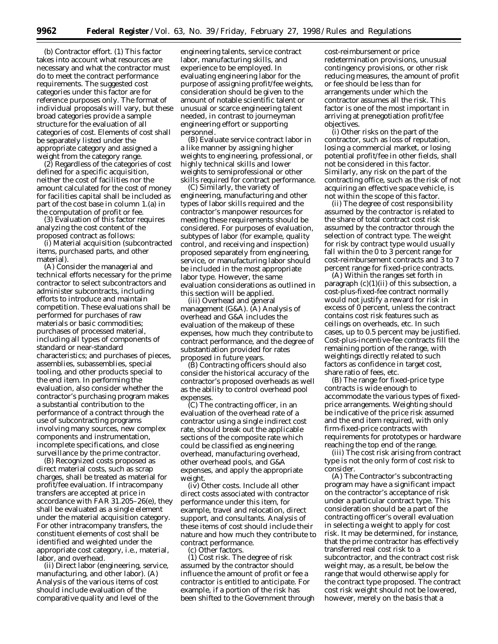(b) Contractor effort. (1) This factor takes into account what resources are necessary and what the contractor must do to meet the contract performance requirements. The suggested cost categories under this factor are for reference purposes only. The format of individual proposals will vary, but these broad categories provide a sample structure for the evaluation of all categories of cost. Elements of cost shall be separately listed under the appropriate category and assigned a weight from the category range.

(2) Regardless of the categories of cost defined for a specific acquisition, neither the cost of facilities nor the amount calculated for the cost of money for facilities capital shall be included as part of the cost base in column 1.(a) in the computation of profit or fee.

(3) Evaluation of this factor requires analyzing the cost content of the proposed contract as follows:

(i) Material acquisition (subcontracted items, purchased parts, and other material).

(A) Consider the managerial and technical efforts necessary for the prime contractor to select subcontractors and administer subcontracts, including efforts to introduce and maintain competition. These evaluations shall be performed for purchases of raw materials or basic commodities; purchases of processed material, including all types of components of standard or near-standard characteristics; and purchases of pieces, assemblies, subassemblies, special tooling, and other products special to the end item. In performing the evaluation, also consider whether the contractor's purchasing program makes a substantial contribution to the performance of a contract through the use of subcontracting programs involving many sources, new complex components and instrumentation, incomplete specifications, and close surveillance by the prime contractor.

(B) Recognized costs proposed as direct material costs, such as scrap charges, shall be treated as material for profit/fee evaluation. If intracompany transfers are accepted at price in accordance with FAR 31.205–26(e), they shall be evaluated as a single element under the material acquisition category. For other intracompany transfers, the constituent elements of cost shall be identified and weighted under the appropriate cost category, i.e., material, labor, and overhead.

(ii) Direct labor (engineering, service, manufacturing, and other labor). (A) Analysis of the various items of cost should include evaluation of the comparative quality and level of the

engineering talents, service contract labor, manufacturing skills, and experience to be employed. In evaluating engineering labor for the purpose of assigning profit/fee weights, consideration should be given to the amount of notable scientific talent or unusual or scarce engineering talent needed, in contrast to journeyman engineering effort or supporting personnel.

(B) Evaluate service contract labor in a like manner by assigning higher weights to engineering, professional, or highly technical skills and lower weights to semiprofessional or other skills required for contract performance.

(C) Similarly, the variety of engineering, manufacturing and other types of labor skills required and the contractor's manpower resources for meeting these requirements should be considered. For purposes of evaluation, subtypes of labor (for example, quality control, and receiving and inspection) proposed separately from engineering, service, or manufacturing labor should be included in the most appropriate labor type. However, the same evaluation considerations as outlined in this section will be applied.

(iii) Overhead and general management (G&A). (A) Analysis of overhead and G&A includes the evaluation of the makeup of these expenses, how much they contribute to contract performance, and the degree of substantiation provided for rates proposed in future years.

(B) Contracting officers should also consider the historical accuracy of the contractor's proposed overheads as well as the ability to control overhead pool expenses.

(C) The contracting officer, in an evaluation of the overhead rate of a contractor using a single indirect cost rate, should break out the applicable sections of the composite rate which could be classified as engineering overhead, manufacturing overhead, other overhead pools, and G&A expenses, and apply the appropriate weight.

(iv) Other costs. Include all other direct costs associated with contractor performance under this item, for example, travel and relocation, direct support, and consultants. Analysis of these items of cost should include their nature and how much they contribute to contract performance.

(c) Other factors.

(1) Cost risk. The degree of risk assumed by the contractor should influence the amount of profit or fee a contractor is entitled to anticipate. For example, if a portion of the risk has been shifted to the Government through cost-reimbursement or price redetermination provisions, unusual contingency provisions, or other risk reducing measures, the amount of profit or fee should be less than for arrangements under which the contractor assumes all the risk. This factor is one of the most important in arriving at prenegotiation profit/fee objectives.

(i) Other risks on the part of the contractor, such as loss of reputation, losing a commercial market, or losing potential profit/fee in other fields, shall not be considered in this factor. Similarly, any risk on the part of the contracting office, such as the risk of not acquiring an effective space vehicle, is not within the scope of this factor.

(ii) The degree of cost responsibility assumed by the contractor is related to the share of total contract cost risk assumed by the contractor through the selection of contract type. The weight for risk by contract type would usually fall within the 0 to 3 percent range for cost-reimbursement contracts and 3 to 7 percent range for fixed-price contracts.

(A) Within the ranges set forth in paragraph  $(c)(1)(ii)$  of this subsection, a cost-plus-fixed-fee contract normally would not justify a reward for risk in excess of 0 percent, unless the contract contains cost risk features such as ceilings on overheads, etc. In such cases, up to 0.5 percent may be justified. Cost-plus-incentive-fee contracts fill the remaining portion of the range, with weightings directly related to such factors as confidence in target cost, share ratio of fees, etc.

(B) The range for fixed-price type contracts is wide enough to accommodate the various types of fixedprice arrangements. Weighting should be indicative of the price risk assumed and the end item required, with only firm-fixed-price contracts with requirements for prototypes or hardware reaching the top end of the range.

(iii) The cost risk arising from contract type is not the only form of cost risk to consider.

(A) The Contractor's subcontracting program may have a significant impact on the contractor's acceptance of risk under a particular contract type. This consideration should be a part of the contracting officer's overall evaluation in selecting a weight to apply for cost risk. It may be determined, for instance, that the prime contractor has effectively transferred real cost risk to a subcontractor, and the contract cost risk weight may, as a result, be below the range that would otherwise apply for the contract type proposed. The contract cost risk weight should not be lowered, however, merely on the basis that a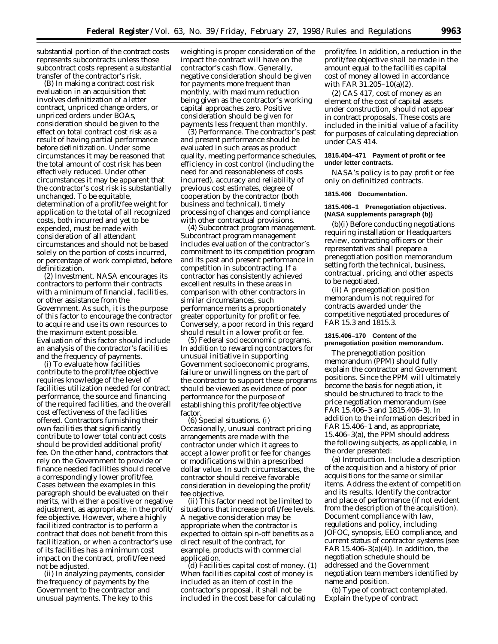substantial portion of the contract costs represents subcontracts unless those subcontract costs represent a substantial transfer of the contractor's risk.

(B) In making a contract cost risk evaluation in an acquisition that involves definitization of a letter contract, unpriced change orders, or unpriced orders under BOAs, consideration should be given to the effect on total contract cost risk as a result of having partial performance before definitization. Under some circumstances it may be reasoned that the total amount of cost risk has been effectively reduced. Under other circumstances it may be apparent that the contractor's cost risk is substantially unchanged. To be equitable, determination of a profit/fee weight for application to the total of all recognized costs, both incurred and yet to be expended, must be made with consideration of all attendant circumstances and should not be based solely on the portion of costs incurred, or percentage of work completed, before definitization.

(2) Investment. NASA encourages its contractors to perform their contracts with a minimum of financial, facilities, or other assistance from the Government. As such, it is the purpose of this factor to encourage the contractor to acquire and use its own resources to the maximum extent possible. Evaluation of this factor should include an analysis of the contractor's facilities and the frequency of payments.

(i) To evaluate how facilities contribute to the profit/fee objective requires knowledge of the level of facilities utilization needed for contract performance, the source and financing of the required facilities, and the overall cost effectiveness of the facilities offered. Contractors furnishing their own facilities that significantly contribute to lower total contract costs should be provided additional profit/ fee. On the other hand, contractors that rely on the Government to provide or finance needed facilities should receive a correspondingly lower profit/fee. Cases between the examples in this paragraph should be evaluated on their merits, with either a positive or negative adjustment, as appropriate, in the profit/ fee objective. However, where a highly facilitized contractor is to perform a contract that does not benefit from this facilitization, or when a contractor's use of its facilities has a minimum cost impact on the contract, profit/fee need not be adjusted.

(ii) In analyzing payments, consider the frequency of payments by the Government to the contractor and unusual payments. The key to this

weighting is proper consideration of the impact the contract will have on the contractor's cash flow. Generally, negative consideration should be given for payments more frequent than monthly, with maximum reduction being given as the contractor's working capital approaches zero. Positive consideration should be given for payments less frequent than monthly.

(3) Performance. The contractor's past and present performance should be evaluated in such areas as product quality, meeting performance schedules, efficiency in cost control (including the need for and reasonableness of costs incurred), accuracy and reliability of previous cost estimates, degree of cooperation by the contractor (both business and technical), timely processing of changes and compliance with other contractual provisions.

(4) Subcontract program management. Subcontract program management includes evaluation of the contractor's commitment to its competition program and its past and present performance in competition in subcontracting. If a contractor has consistently achieved excellent results in these areas in comparison with other contractors in similar circumstances, such performance merits a proportionately greater opportunity for profit or fee. Conversely, a poor record in this regard should result in a lower profit or fee.

(5) Federal socioeconomic programs. In addition to rewarding contractors for unusual initiative in supporting Government socioeconomic programs, failure or unwillingness on the part of the contractor to support these programs should be viewed as evidence of poor performance for the purpose of establishing this profit/fee objective factor.

(6) Special situations. (i) Occasionally, unusual contract pricing arrangements are made with the contractor under which it agrees to accept a lower profit or fee for changes or modifications within a prescribed dollar value. In such circumstances, the contractor should receive favorable consideration in developing the profit/ fee objective.

(ii) This factor need not be limited to situations that increase profit/fee levels. A negative consideration may be appropriate when the contractor is expected to obtain spin-off benefits as a direct result of the contract, for example, products with commercial application.

(d) Facilities capital cost of money. (1) When facilities capital cost of money is included as an item of cost in the contractor's proposal, it shall not be included in the cost base for calculating

profit/fee. In addition, a reduction in the profit/fee objective shall be made in the amount equal to the facilities capital cost of money allowed in accordance with FAR 31.205–10(a)(2).

(2) CAS 417, cost of money as an element of the cost of capital assets under construction, should not appear in contract proposals. These costs are included in the initial value of a facility for purposes of calculating depreciation under CAS 414.

# **1815.404–471 Payment of profit or fee under letter contracts.**

NASA's policy is to pay profit or fee only on definitized contracts.

#### **1815.406 Documentation.**

## **1815.406–1 Prenegotiation objectives. (NASA supplements paragraph (b))**

(b)(i) Before conducting negotiations requiring installation or Headquarters review, contracting officers or their representatives shall prepare a prenegotiation position memorandum setting forth the technical, business, contractual, pricing, and other aspects to be negotiated.

(ii) A prenegotiation position memorandum is not required for contracts awarded under the competitive negotiated procedures of FAR 15.3 and 1815.3.

## **1815.406–170 Content of the prenegotiation position memorandum.**

The prenegotiation position memorandum (PPM) should fully explain the contractor and Government positions. Since the PPM will ultimately become the basis for negotiation, it should be structured to track to the price negotiation memorandum (see FAR 15.406–3 and 1815.406–3). In addition to the information described in FAR 15.406–1 and, as appropriate, 15.406–3(a), the PPM should address the following subjects, as applicable, in the order presented:

(a) Introduction. Include a description of the acquisition and a history of prior acquisitions for the same or similar items. Address the extent of competition and its results. Identify the contractor and place of performance (if not evident from the description of the acquisition). Document compliance with law, regulations and policy, including JOFOC, synopsis, EEO compliance, and current status of contractor systems (see FAR  $15.406-3(a)(4)$ ). In addition, the negotiation schedule should be addressed and the Government negotiation team members identified by name and position.

(b) Type of contract contemplated. Explain the type of contract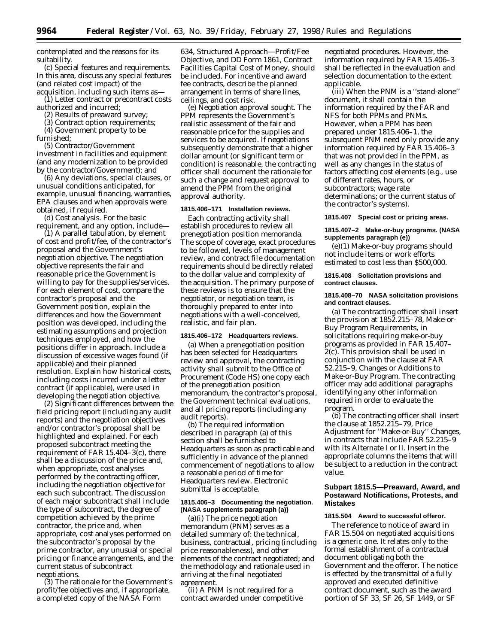contemplated and the reasons for its suitability.

(c) Special features and requirements. In this area, discuss any special features (and related cost impact) of the acquisition, including such items as—

(1) Letter contract or precontract costs authorized and incurred;

(2) Results of preaward survey;

(3) Contract option requirements;

(4) Government property to be furnished;

(5) Contractor/Government investment in facilities and equipment (and any modernization to be provided by the contractor/Government); and

(6) Any deviations, special clauses, or unusual conditions anticipated, for example, unusual financing, warranties, EPA clauses and when approvals were obtained, if required.

(d) Cost analysis. For the basic requirement, and any option, include—

(1) A parallel tabulation, by element of cost and profit/fee, of the contractor's proposal and the Government's negotiation objective. The negotiation objective represents the fair and reasonable price the Government is willing to pay for the supplies/services. For each element of cost, compare the contractor's proposal and the Government position, explain the differences and how the Government position was developed, including the estimating assumptions and projection techniques employed, and how the positions differ in approach. Include a discussion of excessive wages found (if applicable) and their planned resolution. Explain how historical costs, including costs incurred under a letter contract (if applicable), were used in developing the negotiation objective.

(2) Significant differences between the field pricing report (including any audit reports) and the negotiation objectives and/or contractor's proposal shall be highlighted and explained. For each proposed subcontract meeting the requirement of FAR 15.404–3(c), there shall be a discussion of the price and, when appropriate, cost analyses performed by the contracting officer, including the negotiation objective for each such subcontract. The discussion of each major subcontract shall include the type of subcontract, the degree of competition achieved by the prime contractor, the price and, when appropriate, cost analyses performed on the subcontractor's proposal by the prime contractor, any unusual or special pricing or finance arrangements, and the current status of subcontract negotiations.

(3) The rationale for the Government's profit/fee objectives and, if appropriate, a completed copy of the NASA Form

634, Structured Approach—Profit/Fee Objective, and DD Form 1861, Contract Facilities Capital Cost of Money, should be included. For incentive and award fee contracts, describe the planned arrangement in terms of share lines, ceilings, and cost risk.

(e) Negotiation approval sought. The PPM represents the Government's realistic assessment of the fair and reasonable price for the supplies and services to be acquired. If negotiations subsequently demonstrate that a higher dollar amount (or significant term or condition) is reasonable, the contracting officer shall document the rationale for such a change and request approval to amend the PPM from the original approval authority.

## **1815.406–171 Installation reviews.**

Each contracting activity shall establish procedures to review all prenegotiation position memoranda. The scope of coverage, exact procedures to be followed, levels of management review, and contract file documentation requirements should be directly related to the dollar value and complexity of the acquisition. The primary purpose of these reviews is to ensure that the negotiator, or negotiation team, is thoroughly prepared to enter into negotiations with a well-conceived, realistic, and fair plan.

#### **1815.406–172 Headquarters reviews.**

(a) When a prenegotiation position has been selected for Headquarters review and approval, the contracting activity shall submit to the Office of Procurement (Code HS) one copy each of the prenegotiation position memorandum, the contractor's proposal, the Government technical evaluations, and all pricing reports (including any audit reports).

(b) The required information described in paragraph (a) of this section shall be furnished to Headquarters as soon as practicable and sufficiently in advance of the planned commencement of negotiations to allow a reasonable period of time for Headquarters review. Electronic submittal is acceptable.

## **1815.406–3 Documenting the negotiation. (NASA supplements paragraph (a))**

(a)(i) The price negotiation memorandum (PNM) serves as a detailed summary of: the technical, business, contractual, pricing (including price reasonableness), and other elements of the contract negotiated; and the methodology and rationale used in arriving at the final negotiated agreement.

(ii) A PNM is not required for a contract awarded under competitive

negotiated procedures. However, the information required by FAR 15.406–3 shall be reflected in the evaluation and selection documentation to the extent applicable.

(iii) When the PNM is a ''stand-alone'' document, it shall contain the information required by the FAR and NFS for both PPMs and PNMs. However, when a PPM has been prepared under 1815.406–1, the subsequent PNM need only provide any information required by FAR 15.406–3 that was not provided in the PPM, as well as any changes in the status of factors affecting cost elements (e.g., use of different rates, hours, or subcontractors; wage rate determinations; or the current status of the contractor's systems).

#### **1815.407 Special cost or pricing areas.**

## **1815.407–2 Make-or-buy programs. (NASA supplements paragraph (e))**

(e)(1) Make-or-buy programs should not include items or work efforts estimated to cost less than \$500,000.

## **1815.408 Solicitation provisions and contract clauses.**

#### **1815.408–70 NASA solicitation provisions and contract clauses.**

(a) The contracting officer shall insert the provision at 1852.215–78, Make-or-Buy Program Requirements, in solicitations requiring make-or-buy programs as provided in FAR 15.407– 2(c). This provision shall be used in conjunction with the clause at FAR 52.215–9, Changes or Additions to Make-or-Buy Program. The contracting officer may add additional paragraphs identifying any other information required in order to evaluate the program.

(b) The contracting officer shall insert the clause at 1852.215–79, Price Adjustment for ''Make-or-Buy'' Changes, in contracts that include FAR 52.215–9 with its Alternate I or II. Insert in the appropriate columns the items that will be subject to a reduction in the contract value.

## **Subpart 1815.5—Preaward, Award, and Postaward Notifications, Protests, and Mistakes**

#### **1815.504 Award to successful offeror.**

The reference to notice of award in FAR 15.504 on negotiated acquisitions is a generic one. It relates only to the formal establishment of a contractual document obligating both the Government and the offeror. The notice is effected by the transmittal of a fully approved and executed definitive contract document, such as the award portion of SF 33, SF 26, SF 1449, or SF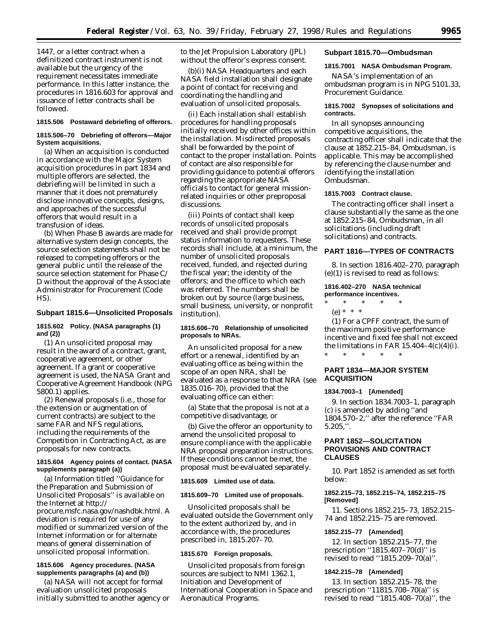1447, or a letter contract when a definitized contract instrument is not available but the urgency of the requirement necessitates immediate performance. In this latter instance, the procedures in 1816.603 for approval and issuance of letter contracts shall be followed.

#### **1815.506 Postaward debriefing of offerors.**

## **1815.506–70 Debriefing of offerors—Major System acquisitions.**

(a) When an acquisition is conducted in accordance with the Major System acquisition procedures in part 1834 and multiple offerors are selected, the debriefing will be limited in such a manner that it does not prematurely disclose innovative concepts, designs, and approaches of the successful offerors that would result in a transfusion of ideas.

(b) When Phase B awards are made for alternative system design concepts, the source selection statements shall not be released to competing offerors or the general public until the release of the source selection statement for Phase C/ D without the approval of the Associate Administrator for Procurement (Code HS).

## **Subpart 1815.6—Unsolicited Proposals**

## **1815.602 Policy. (NASA paragraphs (1) and (2))**

(1) An unsolicited proposal may result in the award of a contract, grant, cooperative agreement, or other agreement. If a grant or cooperative agreement is used, the NASA Grant and Cooperative Agreement Handbook (NPG 5800.1) applies.

(2) Renewal proposals (i.e., those for the extension or augmentation of current contracts) are subject to the same FAR and NFS regulations, including the requirements of the Competition in Contracting Act, as are proposals for new contracts.

## **1815.604 Agency points of contact. (NASA supplements paragraph (a))**

(a) Information titled ''Guidance for the Preparation and Submission of Unsolicited Proposals'' is available on the Internet at http:// procure.msfc.nasa.gov/nashdbk.html. A deviation is required for use of any modified or summarized version of the Internet information or for alternate means of general dissemination of unsolicited proposal information.

## **1815.606 Agency procedures. (NASA supplements paragraphs (a) and (b))**

(a) NASA will not accept for formal evaluation unsolicited proposals initially submitted to another agency or to the Jet Propulsion Laboratory (JPL) without the offeror's express consent.

(b)(i) NASA Headquarters and each NASA field installation shall designate a point of contact for receiving and coordinating the handling and evaluation of unsolicited proposals.

(ii) Each installation shall establish procedures for handling proposals initially received by other offices within the installation. Misdirected proposals shall be forwarded by the point of contact to the proper installation. Points of contact are also responsible for providing guidance to potential offerors regarding the appropriate NASA officials to contact for general missionrelated inquiries or other preproposal discussions.

(iii) Points of contact shall keep records of unsolicited proposals received and shall provide prompt status information to requesters. These records shall include, at a minimum, the number of unsolicited proposals received, funded, and rejected during the fiscal year; the identity of the offerors; and the office to which each was referred. The numbers shall be broken out by source (large business, small business, university, or nonprofit institution).

### **1815.606–70 Relationship of unsolicited proposals to NRAs.**

An unsolicited proposal for a new effort or a renewal, identified by an evaluating office as being within the scope of an open NRA, shall be evaluated as a response to that NRA (see 1835.016–70), provided that the evaluating office can either:

(a) State that the proposal is not at a competitive disadvantage, or

(b) Give the offeror an opportunity to amend the unsolicited proposal to ensure compliance with the applicable NRA proposal preparation instructions. If these conditions cannot be met, the proposal must be evaluated separately.

### **1815.609 Limited use of data.**

#### **1815.609–70 Limited use of proposals.**

Unsolicited proposals shall be evaluated outside the Government only to the extent authorized by, and in accordance with, the procedures prescribed in, 1815.207–70.

## **1815.670 Foreign proposals.**

Unsolicited proposals from foreign sources are subject to NMI 1362.1, Initiation and Development of International Cooperation in Space and Aeronautical Programs.

## **Subpart 1815.70—Ombudsman**

# **1815.7001 NASA Ombudsman Program.**

NASA's implementation of an ombudsman program is in NPG 5101.33, Procurement Guidance.

## **1815.7002 Synopses of solicitations and contracts.**

In all synopses announcing competitive acquisitions, the contracting officer shall indicate that the clause at 1852.215–84, Ombudsman, is applicable. This may be accomplished by referencing the clause number and identifying the installation Ombudsman.

### **1815.7003 Contract clause.**

The contracting officer shall insert a clause substantially the same as the one at 1852.215–84, Ombudsman, in all solicitations (including draft solicitations) and contracts.

## **PART 1816—TYPES OF CONTRACTS**

8. In section 1816.402–270, paragraph (e)(1) is revised to read as follows:

## **1816.402–270 NASA technical performance incentives.**

\* \* \* \* \*

(e) \* \* \*

(1) For a CPFF contract, the sum of the maximum positive performance incentive and fixed fee shall not exceed the limitations in FAR  $15.404-4(c)(4)(i)$ . \* \* \* \* \*

# **PART 1834—MAJOR SYSTEM ACQUISITION**

#### **1834.7003–1 [Amended]**

9. In section 1834.7003–1, paragraph (c) is amended by adding ''and 1804.570–2,'' after the reference ''FAR 5.205,''.

# **PART 1852—SOLICITATION PROVISIONS AND CONTRACT CLAUSES**

10. Part 1852 is amended as set forth below:

### **1852.215–73, 1852.215–74, 1852.215–75 [Removed]**

11. Sections 1852.215–73, 1852.215– 74 and 1852.215–75 are removed.

### **1852.215–77 [Amended]**

12. In section 1852.215–77, the prescription ''1815.407–70(d)'' is revised to read ''1815.209–70(a)''.

### **1842.215–78 [Amended]**

13. In section 1852.215–78, the prescription ''11815.708–70(a)'' is revised to read ''1815.408–70(a)'', the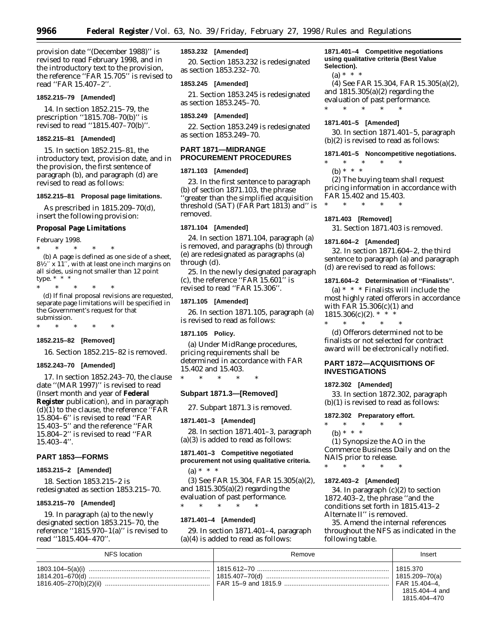provision date ''(December 1988)'' is revised to read February 1998, and in the introductory text to the provision, the reference ''FAR 15.705'' is revised to read ''FAR 15.407–2''.

### **1852.215–79 [Amended]**

14. In section 1852.215–79, the prescription ''1815.708–70(b)'' is revised to read ''1815.407–70(b)''.

## **1852.215–81 [Amended]**

15. In section 1852.215–81, the introductory text, provision date, and in the provision, the first sentence of paragraph (b), and paragraph (d) are revised to read as follows:

#### **1852.215–81 Proposal page limitations.**

As prescribed in 1815.209–70(d), insert the following provision:

# **Proposal Page Limitations**

February 1998. \* \* \* \* \* (b) A page is defined as one side of a sheet,  $8\frac{1}{2}$ <sup>'</sup>x 11<sup>''</sup>, with at least one inch margins on all sides, using not smaller than 12 point type.  $* * * *$ 

\* \* \* \* \*

(d) If final proposal revisions are requested, separate page limitations will be specified in the Government's request for that submission.

\* \* \* \* \*

#### **1852.215–82 [Removed]**

16. Section 1852.215–82 is removed.

#### **1852.243–70 [Amended]**

17. In section 1852.243–70, the clause date ''(MAR 1997)'' is revised to read (Insert month and year of **Federal Register** publication), and in paragraph  $(d)(1)$  to the clause, the reference "FAR 15.804–6'' is revised to read ''FAR 15.403–5'' and the reference ''FAR 15.804–2'' is revised to read ''FAR 15.403–4''.

## **PART 1853—FORMS**

### **1853.215–2 [Amended]**

18. Section 1853.215–2 is redesignated as section 1853.215–70.

#### **1853.215–70 [Amended]**

19. In paragraph (a) to the newly designated section 1853.215–70, the reference ''1815.970–1(a)'' is revised to read ''1815.404–470''.

## **1853.232 [Amended]**

20. Section 1853.232 is redesignated as section 1853.232–70.

## **1853.245 [Amended]**

21. Section 1853.245 is redesignated as section 1853.245–70.

#### **1853.249 [Amended]**

22. Section 1853.249 is redesignated as section 1853.249–70.

## **PART 1871—MIDRANGE PROCUREMENT PROCEDURES**

#### **1871.103 [Amended]**

23. In the first sentence to paragraph (b) of section 1871.103, the phrase 'greater than the simplified acquisition threshold (SAT) (FAR Part 1813) and'' is removed.

## **1871.104 [Amended]**

24. In section 1871.104, paragraph (a) is removed, and paragraphs (b) through (e) are redesignated as paragraphs (a) through (d).

25. In the newly designated paragraph (c), the reference ''FAR 15.601'' is revised to read ''FAR 15.306''.

#### **1871.105 [Amended]**

26. In section 1871.105, paragraph (a) is revised to read as follows:

#### **1871.105 Policy.**

(a) Under MidRange procedures, pricing requirements shall be determined in accordance with FAR 15.402 and 15.403.

\* \* \* \* \*

# **Subpart 1871.3—[Removed]**

27. Subpart 1871.3 is removed.

#### **1871.401–3 [Amended]**

28. In section 1871.401–3, paragraph (a)(3) is added to read as follows:

# **1871.401–3 Competitive negotiated procurement not using qualitative criteria.**  $(a) * * * *$

(3) See FAR 15.304, FAR 15.305(a)(2), and 1815.305(a)(2) regarding the evaluation of past performance.

\* \* \* \* \*

### **1871.401–4 [Amended]**

29. In section 1871.401–4, paragraph (a)(4) is added to read as follows:

## **1871.401–4 Competitive negotiations using qualitative criteria (Best Value Selection).**

 $(a) * * * *$ 

(4) See FAR 15.304, FAR 15.305(a)(2), and 1815.305(a)(2) regarding the evaluation of past performance. \* \* \* \* \*

#### **1871.401–5 [Amended]**

30. In section 1871.401–5, paragraph (b)(2) is revised to read as follows:

#### **1871.401–5 Noncompetitive negotiations.**

- \* \* \* \* \*
	- (b) \* \* \*

(2) The buying team shall request pricing information in accordance with FAR 15.402 and 15.403.

#### **1871.403 [Removed]**

\* \* \* \* \*

31. Section 1871.403 is removed.

#### **1871.604–2 [Amended]**

32. In section 1871.604–2, the third sentence to paragraph (a) and paragraph (d) are revised to read as follows:

#### **1871.604–2 Determination of ''Finalists''.**

(a)  $* * *$  Finalists will include the most highly rated offerors in accordance with FAR 15.306(c)(1) and  $1815.306(c)(2).$  \* \*<br>\* \* \* \* \* \*

\* \* \* \* \*

(d) Offerors determined not to be finalists or not selected for contract award will be electronically notified.

## **PART 1872—ACQUISITIONS OF INVESTIGATIONS**

## **1872.302 [Amended]**

33. In section 1872.302, paragraph (b)(1) is revised to read as follows:

### **1872.302 Preparatory effort.**

\* \* \* \* \* (b) \* \* \*

(1) Synopsize the AO in the Commerce Business Daily and on the NAIS prior to release.

#### \* \* \* \* \*

## **1872.403–2 [Amended]**

34. In paragraph (c)(2) to section 1872.403–2, the phrase ''and the conditions set forth in 1815.413–2 Alternate II'' is removed.

35. Amend the internal references throughout the NFS as indicated in the following table.

| NFS location | Remove | Insert                                     |
|--------------|--------|--------------------------------------------|
|              |        | 1815.370<br>1815.404-4 and<br>1815.404-470 |